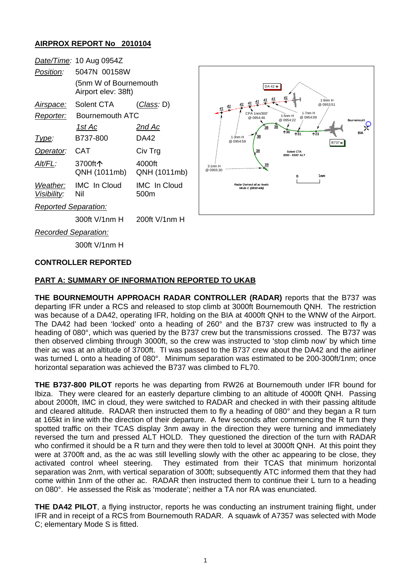## **AIRPROX REPORT No 2010104**

|                             | Date/Time: 10 Aug 0954Z                      |                             |
|-----------------------------|----------------------------------------------|-----------------------------|
| Position:                   | 5047N 00158W                                 |                             |
|                             | (5nm W of Bournemouth<br>Airport elev: 38ft) |                             |
| Airspace:                   | Solent CTA                                   | (Class: D)                  |
| <u>Reporter:</u>            | Bournemouth ATC                              |                             |
|                             | <u> 1st Ac</u>                               | <u>2nd Ac</u>               |
| <u> I ype:</u>              | B737-800                                     | DA42                        |
| Operator:                   | CAT                                          | Civ Trg                     |
| AIt/FL:                     | 3700ft个<br>QNH (1011mb)                      | 4000ft<br>QNH (1011mb)      |
| Weather:<br>Visibility:     | <b>IMC</b> In Cloud<br>Nil                   | <b>IMC</b> In Cloud<br>500m |
| <b>Reported Separation:</b> |                                              |                             |
|                             | 300ft V/1nm H                                | 200ft V/1nm H               |



*Recorded Separation:*

300ft V/1nm H

#### **CONTROLLER REPORTED**

### **PART A: SUMMARY OF INFORMATION REPORTED TO UKAB**

**THE BOURNEMOUTH APPROACH RADAR CONTROLLER (RADAR)** reports that the B737 was departing IFR under a RCS and released to stop climb at 3000ft Bournemouth QNH. The restriction was because of a DA42, operating IFR, holding on the BIA at 4000ft QNH to the WNW of the Airport. The DA42 had been 'locked' onto a heading of 260° and the B737 crew was instructed to fly a heading of 080°, which was queried by the B737 crew but the transmissions crossed. The B737 was then observed climbing through 3000ft, so the crew was instructed to 'stop climb now' by which time their ac was at an altitude of 3700ft. TI was passed to the B737 crew about the DA42 and the airliner was turned L onto a heading of 080°. Minimum separation was estimated to be 200-300ft/1nm; once horizontal separation was achieved the B737 was climbed to FL70.

**THE B737-800 PILOT** reports he was departing from RW26 at Bournemouth under IFR bound for Ibiza. They were cleared for an easterly departure climbing to an altitude of 4000ft QNH. Passing about 2000ft, IMC in cloud, they were switched to RADAR and checked in with their passing altitude and cleared altitude. RADAR then instructed them to fly a heading of 080° and they began a R turn at 165kt in line with the direction of their departure. A few seconds after commencing the R turn they spotted traffic on their TCAS display 3nm away in the direction they were turning and immediately reversed the turn and pressed ALT HOLD. They questioned the direction of the turn with RADAR who confirmed it should be a R turn and they were then told to level at 3000ft QNH. At this point they were at 3700ft and, as the ac was still levelling slowly with the other ac appearing to be close, they activated control wheel steering. They estimated from their TCAS that minimum horizontal separation was 2nm, with vertical separation of 300ft; subsequently ATC informed them that they had come within 1nm of the other ac. RADAR then instructed them to continue their L turn to a heading on 080°. He assessed the Risk as 'moderate'; neither a TA nor RA was enunciated.

**THE DA42 PILOT**, a flying instructor, reports he was conducting an instrument training flight, under IFR and in receipt of a RCS from Bournemouth RADAR. A squawk of A7357 was selected with Mode C; elementary Mode S is fitted.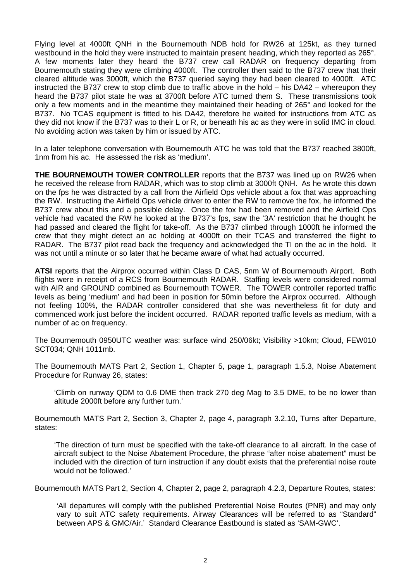Flying level at 4000ft QNH in the Bournemouth NDB hold for RW26 at 125kt, as they turned westbound in the hold they were instructed to maintain present heading, which they reported as 265°. A few moments later they heard the B737 crew call RADAR on frequency departing from Bournemouth stating they were climbing 4000ft. The controller then said to the B737 crew that their cleared altitude was 3000ft, which the B737 queried saying they had been cleared to 4000ft. ATC instructed the B737 crew to stop climb due to traffic above in the hold – his DA42 – whereupon they heard the B737 pilot state he was at 3700ft before ATC turned them S. These transmissions took only a few moments and in the meantime they maintained their heading of 265° and looked for the B737. No TCAS equipment is fitted to his DA42, therefore he waited for instructions from ATC as they did not know if the B737 was to their L or R, or beneath his ac as they were in solid IMC in cloud. No avoiding action was taken by him or issued by ATC.

In a later telephone conversation with Bournemouth ATC he was told that the B737 reached 3800ft, 1nm from his ac. He assessed the risk as 'medium'.

**THE BOURNEMOUTH TOWER CONTROLLER** reports that the B737 was lined up on RW26 when he received the release from RADAR, which was to stop climb at 3000ft QNH. As he wrote this down on the fps he was distracted by a call from the Airfield Ops vehicle about a fox that was approaching the RW. Instructing the Airfield Ops vehicle driver to enter the RW to remove the fox, he informed the B737 crew about this and a possible delay. Once the fox had been removed and the Airfield Ops vehicle had vacated the RW he looked at the B737's fps, saw the '3A' restriction that he thought he had passed and cleared the flight for take-off. As the B737 climbed through 1000ft he informed the crew that they might detect an ac holding at 4000ft on their TCAS and transferred the flight to RADAR. The B737 pilot read back the frequency and acknowledged the TI on the ac in the hold. It was not until a minute or so later that he became aware of what had actually occurred.

**ATSI** reports that the Airprox occurred within Class D CAS, 5nm W of Bournemouth Airport. Both flights were in receipt of a RCS from Bournemouth RADAR. Staffing levels were considered normal with AIR and GROUND combined as Bournemouth TOWER. The TOWER controller reported traffic levels as being 'medium' and had been in position for 50min before the Airprox occurred. Although not feeling 100%, the RADAR controller considered that she was nevertheless fit for duty and commenced work just before the incident occurred. RADAR reported traffic levels as medium, with a number of ac on frequency.

The Bournemouth 0950UTC weather was: surface wind 250/06kt; Visibility >10km; Cloud, FEW010 SCT034; QNH 1011mb.

The Bournemouth MATS Part 2, Section 1, Chapter 5, page 1, paragraph 1.5.3, Noise Abatement Procedure for Runway 26, states:

'Climb on runway QDM to 0.6 DME then track 270 deg Mag to 3.5 DME, to be no lower than altitude 2000ft before any further turn.'

Bournemouth MATS Part 2, Section 3, Chapter 2, page 4, paragraph 3.2.10, Turns after Departure, states:

'The direction of turn must be specified with the take-off clearance to all aircraft. In the case of aircraft subject to the Noise Abatement Procedure, the phrase "after noise abatement" must be included with the direction of turn instruction if any doubt exists that the preferential noise route would not be followed.'

Bournemouth MATS Part 2, Section 4, Chapter 2, page 2, paragraph 4.2.3, Departure Routes, states:

'All departures will comply with the published Preferential Noise Routes (PNR) and may only vary to suit ATC safety requirements. Airway Clearances will be referred to as "Standard" between APS & GMC/Air.' Standard Clearance Eastbound is stated as 'SAM-GWC'.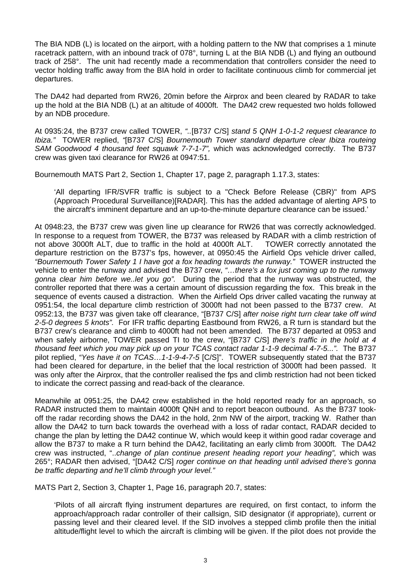The BIA NDB (L) is located on the airport, with a holding pattern to the NW that comprises a 1 minute racetrack pattern, with an inbound track of 078°, turning L at the BIA NDB (L) and flying an outbound track of 258°. The unit had recently made a recommendation that controllers consider the need to vector holding traffic away from the BIA hold in order to facilitate continuous climb for commercial jet departures.

The DA42 had departed from RW26, 20min before the Airprox and been cleared by RADAR to take up the hold at the BIA NDB (L) at an altitude of 4000ft. The DA42 crew requested two holds followed by an NDB procedure.

At 0935:24, the B737 crew called TOWER, *"..*[B737 C/S] *stand 5 QNH 1-0-1-2 request clearance to Ibiza."* TOWER replied, *"*[B737 C/S] *Bournemouth Tower standard departure clear Ibiza routeing SAM Goodwood 4 thousand feet squawk 7-7-1-7",* which was acknowledged correctly. The B737 crew was given taxi clearance for RW26 at 0947:51.

Bournemouth MATS Part 2, Section 1, Chapter 17, page 2, paragraph 1.17.3, states:

'All departing IFR/SVFR traffic is subject to a "Check Before Release (CBR)" from APS (Approach Procedural Surveillance)[RADAR]. This has the added advantage of alerting APS to the aircraft's imminent departure and an up-to-the-minute departure clearance can be issued.'

At 0948:23, the B737 crew was given line up clearance for RW26 that was correctly acknowledged. In response to a request from TOWER, the B737 was released by RADAR with a climb restriction of not above 3000ft ALT, due to traffic in the hold at 4000ft ALT. TOWER correctly annotated the departure restriction on the B737's fps, however, at 0950:45 the Airfield Ops vehicle driver called, *"Bournemouth Tower Safety 1 I have got a fox heading towards the runway."* TOWER instructed the vehicle to enter the runway and advised the B737 crew, *"…there's a fox just coming up to the runway gonna clear him before we..let you go".* During the period that the runway was obstructed, the controller reported that there was a certain amount of discussion regarding the fox. This break in the sequence of events caused a distraction. When the Airfield Ops driver called vacating the runway at 0951:54, the local departure climb restriction of 3000ft had not been passed to the B737 crew. At 0952:13, the B737 was given take off clearance, "[B737 C/S] *after noise right turn clear take off wind 2-5-0 degrees 5 knots".* For IFR traffic departing Eastbound from RW26, a R turn is standard but the B737 crew's clearance and climb to 4000ft had not been amended. The B737 departed at 0953 and when safely airborne, TOWER passed TI to the crew, "[B737 C/S] *there's traffic in the hold at 4 thousand feet which you may pick up on your TCAS contact radar 1-1-9 decimal 4-7-5...".* The B737 pilot replied, *"Yes have it on TCAS…1-1-9-4-7-5* [C/S]". TOWER subsequently stated that the B737 had been cleared for departure, in the belief that the local restriction of 3000ft had been passed. It was only after the Airprox, that the controller realised the fps and climb restriction had not been ticked to indicate the correct passing and read-back of the clearance.

Meanwhile at 0951:25, the DA42 crew established in the hold reported ready for an approach, so RADAR instructed them to maintain 4000ft QNH and to report beacon outbound. As the B737 tookoff the radar recording shows the DA42 in the hold, 2nm NW of the airport, tracking W. Rather than allow the DA42 to turn back towards the overhead with a loss of radar contact, RADAR decided to change the plan by letting the DA42 continue W, which would keep it within good radar coverage and allow the B737 to make a R turn behind the DA42, facilitating an early climb from 3000ft. The DA42 crew was instructed, "..*change of plan continue present heading report your heading",* which was 265°; RADAR then advised, "[DA42 C/S] *roger continue on that heading until advised there's gonna be traffic departing and he'll climb through your level."*

MATS Part 2, Section 3, Chapter 1, Page 16, paragraph 20.7, states:

'Pilots of all aircraft flying instrument departures are required, on first contact, to inform the approach/approach radar controller of their callsign, SID designator (if appropriate), current or passing level and their cleared level. If the SID involves a stepped climb profile then the initial altitude/flight level to which the aircraft is climbing will be given. If the pilot does not provide the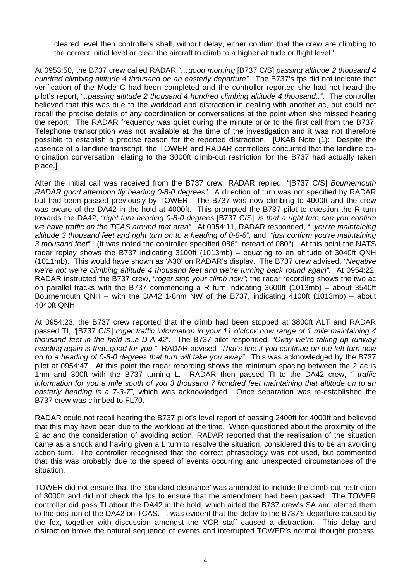cleared level then controllers shall, without delay, either confirm that the crew are climbing to the correct initial level or clear the aircraft to climb to a higher altitude or flight level.'

At 0953:50, the B737 crew called RADAR,*"…good morning* [B737 C/S] *passing altitude 2 thousand 4 hundred climbing altitude 4 thousand on an easterly departure".* The B737's fps did not indicate that verification of the Mode C had been completed and the controller reported she had not heard the pilot's report, "..*passing altitude 2 thousand 4 hundred climbing altitude 4 thousand.."*. The controller believed that this was due to the workload and distraction in dealing with another ac, but could not recall the precise details of any coordination or conversations at the point when she missed hearing the report. The RADAR frequency was quiet during the minute prior to the first call from the B737. Telephone transcription was not available at the time of the investigation and it was not therefore possible to establish a precise reason for the reported distraction. [UKAB Note (1): Despite the absence of a landline transcript, the TOWER and RADAR controllers concurred that the landline coordination conversation relating to the 3000ft climb-out restriction for the B737 had actually taken place.]

After the initial call was received from the B737 crew, RADAR replied, *"*[B737 C/S] *Bournemouth RADAR good afternoon fly heading 0-8-0 degrees"*. A direction of turn was not specified by RADAR but had been passed previously by TOWER. The B737 was now climbing to 4000ft and the crew was aware of the DA42 in the hold at 4000ft. This prompted the B737 pilot to question the R turn towards the DA42, *"right turn heading 0-8-0 degrees* [B737 C/S]..*is that a right turn can you confirm we have traffic on the TCAS around that area"*. At 0954:11, RADAR responded, "..*you're maintaining altitude 3 thousand feet and right turn on to a heading of 0-8-6",* and, *"just confirm you're maintaining 3 thousand feet".* (It was noted the controller specified 086° instead of 080°). At this point the NATS radar replay shows the B737 indicating 3100ft (1013mb) – equating to an altitude of 3040ft QNH (1011mb). This would have shown as 'A30' on RADAR's display. The B737 crew advised, *"Negative we're not we're climbing altitude 4 thousand feet and we're turning back round again".* At 0954:22, RADAR instructed the B737 crew, *"roger stop your climb now"*; the radar recording shows the two ac on parallel tracks with the B737 commencing a R turn indicating 3600ft (1013mb) – about 3540ft Bournemouth QNH – with the DA42 1·8nm NW of the B737, indicating 4100ft (1013mb) – about 4040ft QNH.

At 0954:23, the B737 crew reported that the climb had been stopped at 3800ft ALT and RADAR passed TI, "[B737 C/S] *roger traffic information in your 11 o'clock now range of 1 mile maintaining 4 thousand feet in the hold is..a D-A 42".* The B737 pilot responded, *"Okay we're taking up runway heading again is that..good for you."* RADAR advised *"That's fine if you continue on the left turn now on to a heading of 0-8-0 degrees that turn will take you away".* This was acknowledged by the B737 pilot at 0954:47. At this point the radar recording shows the minimum spacing between the 2 ac is 1nm and 300ft with the B737 turning L. RADAR then passed TI to the DA42 crew, *"..traffic information for you a mile south of you 3 thousand 7 hundred feet maintaining that altitude on to an easterly heading is a 7-3-7",* which was acknowledged. Once separation was re-established the B737 crew was climbed to FL70.

RADAR could not recall hearing the B737 pilot's level report of passing 2400ft for 4000ft and believed that this may have been due to the workload at the time. When questioned about the proximity of the 2 ac and the consideration of avoiding action, RADAR reported that the realisation of the situation came as a shock and having given a L turn to resolve the situation, considered this to be an avoiding action turn. The controller recognised that the correct phraseology was not used, but commented that this was probably due to the speed of events occurring and unexpected circumstances of the situation.

TOWER did not ensure that the 'standard clearance' was amended to include the climb-out restriction of 3000ft and did not check the fps to ensure that the amendment had been passed. The TOWER controller did pass TI about the DA42 in the hold, which aided the B737 crew's SA and alerted them to the position of the DA42 on TCAS. It was evident that the delay to the B737's departure caused by the fox, together with discussion amongst the VCR staff caused a distraction. This delay and distraction broke the natural sequence of events and interrupted TOWER's normal thought process.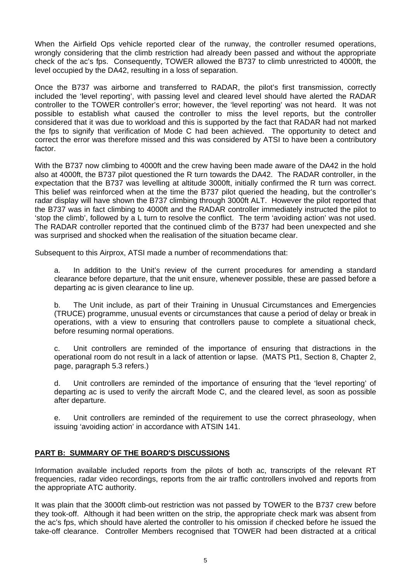When the Airfield Ops vehicle reported clear of the runway, the controller resumed operations, wrongly considering that the climb restriction had already been passed and without the appropriate check of the ac's fps. Consequently, TOWER allowed the B737 to climb unrestricted to 4000ft, the level occupied by the DA42, resulting in a loss of separation.

Once the B737 was airborne and transferred to RADAR, the pilot's first transmission, correctly included the 'level reporting', with passing level and cleared level should have alerted the RADAR controller to the TOWER controller's error; however, the 'level reporting' was not heard. It was not possible to establish what caused the controller to miss the level reports, but the controller considered that it was due to workload and this is supported by the fact that RADAR had not marked the fps to signify that verification of Mode C had been achieved. The opportunity to detect and correct the error was therefore missed and this was considered by ATSI to have been a contributory factor.

With the B737 now climbing to 4000ft and the crew having been made aware of the DA42 in the hold also at 4000ft, the B737 pilot questioned the R turn towards the DA42. The RADAR controller, in the expectation that the B737 was levelling at altitude 3000ft, initially confirmed the R turn was correct. This belief was reinforced when at the time the B737 pilot queried the heading, but the controller's radar display will have shown the B737 climbing through 3000ft ALT. However the pilot reported that the B737 was in fact climbing to 4000ft and the RADAR controller immediately instructed the pilot to 'stop the climb', followed by a L turn to resolve the conflict. The term 'avoiding action' was not used. The RADAR controller reported that the continued climb of the B737 had been unexpected and she was surprised and shocked when the realisation of the situation became clear.

Subsequent to this Airprox, ATSI made a number of recommendations that:

a. In addition to the Unit's review of the current procedures for amending a standard clearance before departure, that the unit ensure, whenever possible, these are passed before a departing ac is given clearance to line up.

b. The Unit include, as part of their Training in Unusual Circumstances and Emergencies (TRUCE) programme, unusual events or circumstances that cause a period of delay or break in operations, with a view to ensuring that controllers pause to complete a situational check, before resuming normal operations.

c. Unit controllers are reminded of the importance of ensuring that distractions in the operational room do not result in a lack of attention or lapse. (MATS Pt1, Section 8, Chapter 2, page, paragraph 5.3 refers.)

d. Unit controllers are reminded of the importance of ensuring that the 'level reporting' of departing ac is used to verify the aircraft Mode C, and the cleared level, as soon as possible after departure.

e. Unit controllers are reminded of the requirement to use the correct phraseology, when issuing 'avoiding action' in accordance with ATSIN 141.

### **PART B: SUMMARY OF THE BOARD'S DISCUSSIONS**

Information available included reports from the pilots of both ac, transcripts of the relevant RT frequencies, radar video recordings, reports from the air traffic controllers involved and reports from the appropriate ATC authority.

It was plain that the 3000ft climb-out restriction was not passed by TOWER to the B737 crew before they took-off. Although it had been written on the strip, the appropriate check mark was absent from the ac's fps, which should have alerted the controller to his omission if checked before he issued the take-off clearance. Controller Members recognised that TOWER had been distracted at a critical